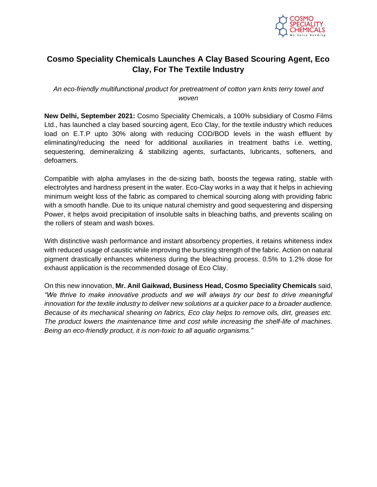

## **Cosmo Speciality Chemicals Launches A Clay Based Scouring Agent, Eco Clay, For The Textile Industry**

*An eco-friendly multifunctional product for pretreatment of cotton yarn knits terry towel and woven*

**New Delhi, September 2021:** Cosmo Speciality Chemicals, a 100% subsidiary of Cosmo Films Ltd., has launched a clay based sourcing agent, Eco Clay, for the textile industry which reduces load on E.T.P upto 30% along with reducing COD/BOD levels in the wash effluent by eliminating/reducing the need for additional auxiliaries in treatment baths i.e. wetting, sequestering, demineralizing & stabilizing agents, surfactants, lubricants, softeners, and defoamers.

Compatible with alpha amylases in the de-sizing bath, boosts the tegewa rating, stable with electrolytes and hardness present in the water. Eco-Clay works in a way that it helps in achieving minimum weight loss of the fabric as compared to chemical sourcing along with providing fabric with a smooth handle. Due to its unique natural chemistry and good sequestering and dispersing Power, it helps avoid precipitation of insoluble salts in bleaching baths, and prevents scaling on the rollers of steam and wash boxes.

With distinctive wash performance and instant absorbency properties, it retains whiteness index with reduced usage of caustic while improving the bursting strength of the fabric. Action on natural pigment drastically enhances whiteness during the bleaching process. 0.5% to 1.2% dose for exhaust application is the recommended dosage of Eco Clay.

On this new innovation, **Mr. Anil Gaikwad, Business Head, Cosmo Speciality Chemicals** said, *"We thrive to make innovative products and we will always try our best to drive meaningful innovation for the textile industry to deliver new solutions at a quicker pace to a broader audience. Because of its mechanical shearing on fabrics, Eco clay helps to remove oils, dirt, greases etc. The product lowers the maintenance time and cost while increasing the shelf-life of machines. Being an eco-friendly product, it is non-toxic to all aquatic organisms."*